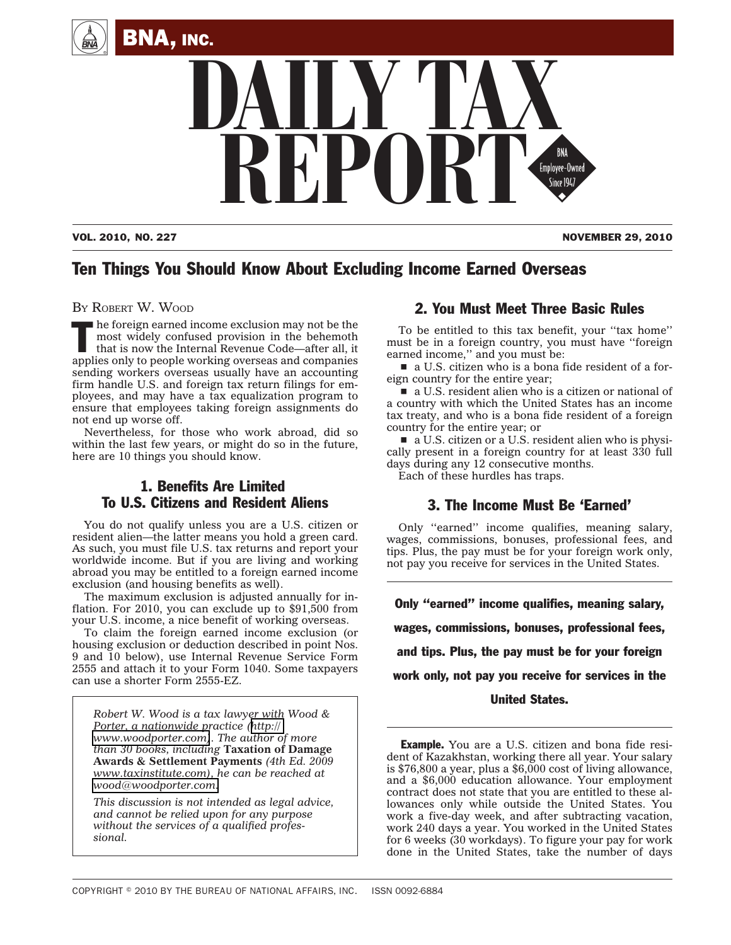



VOL. 2010, NO. 227 NOVEMBER 29, 2010

# Ten Things You Should Know About Excluding Income Earned Overseas

BY ROBERT W. WOOD

The foreign earned income exclusion may not be the<br>
most widely confused provision in the behemoth<br>
that is now the Internal Revenue Code—after all, it<br>
sensitive and complete the contract of complete most widely confused provision in the behemoth applies only to people working overseas and companies sending workers overseas usually have an accounting firm handle U.S. and foreign tax return filings for employees, and may have a tax equalization program to ensure that employees taking foreign assignments do not end up worse off.

Nevertheless, for those who work abroad, did so within the last few years, or might do so in the future, here are 10 things you should know.

## 1. Benefits Are Limited To U.S. Citizens and Resident Aliens

You do not qualify unless you are a U.S. citizen or resident alien—the latter means you hold a green card. As such, you must file U.S. tax returns and report your worldwide income. But if you are living and working abroad you may be entitled to a foreign earned income exclusion (and housing benefits as well).

The maximum exclusion is adjusted annually for inflation. For 2010, you can exclude up to \$91,500 from your U.S. income, a nice benefit of working overseas.

To claim the foreign earned income exclusion (or housing exclusion or deduction described in point Nos. 9 and 10 below), use Internal Revenue Service Form 2555 and attach it to your Form 1040. Some taxpayers can use a shorter Form 2555-EZ.

*Robert W. Wood is a tax lawyer with Wood & Porter, a nationwide practice ([http://](http://www.woodporter.com) [www.woodporter.com\)](http://www.woodporter.com). The author of more than 30 books, including* **Taxation of Damage Awards & Settlement Payments** *(4th Ed. 2009 www.taxinstitute.com), he can be reached at [wood@woodporter.com.](mailto:wood@woodporter.com)*

*This discussion is not intended as legal advice, and cannot be relied upon for any purpose without the services of a qualified professional.*

## 2. You Must Meet Three Basic Rules

To be entitled to this tax benefit, your ''tax home'' must be in a foreign country, you must have ''foreign earned income,'' and you must be:

 $\blacksquare$  a U.S. citizen who is a bona fide resident of a foreign country for the entire year;

a U.S. resident alien who is a citizen or national of a country with which the United States has an income tax treaty, and who is a bona fide resident of a foreign country for the entire year; or

a U.S. citizen or a U.S. resident alien who is physically present in a foreign country for at least 330 full days during any 12 consecutive months.

Each of these hurdles has traps.

## 3. The Income Must Be 'Earned'

Only ''earned'' income qualifies, meaning salary, wages, commissions, bonuses, professional fees, and tips. Plus, the pay must be for your foreign work only, not pay you receive for services in the United States.

Only ''earned'' income qualifies, meaning salary, wages, commissions, bonuses, professional fees, and tips. Plus, the pay must be for your foreign work only, not pay you receive for services in the

United States.

**Example.** You are a U.S. citizen and bona fide resident of Kazakhstan, working there all year. Your salary is \$76,800 a year, plus a \$6,000 cost of living allowance, and a \$6,000 education allowance. Your employment contract does not state that you are entitled to these allowances only while outside the United States. You work a five-day week, and after subtracting vacation, work 240 days a year. You worked in the United States for 6 weeks (30 workdays). To figure your pay for work done in the United States, take the number of days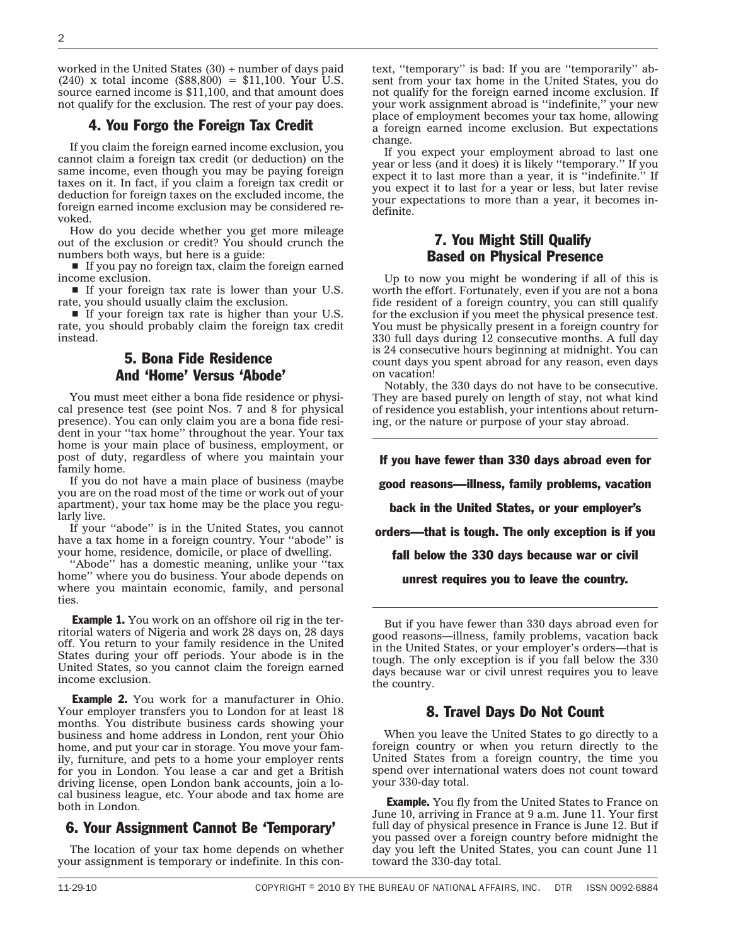worked in the United States  $(30)$  ÷ number of days paid (240) x total income  $(\$88,800) = \$11,100$ . Your U.S. source earned income is \$11,100, and that amount does not qualify for the exclusion. The rest of your pay does.

#### 4. You Forgo the Foreign Tax Credit

If you claim the foreign earned income exclusion, you cannot claim a foreign tax credit (or deduction) on the same income, even though you may be paying foreign taxes on it. In fact, if you claim a foreign tax credit or deduction for foreign taxes on the excluded income, the foreign earned income exclusion may be considered revoked.

How do you decide whether you get more mileage out of the exclusion or credit? You should crunch the numbers both ways, but here is a guide:

 $\blacksquare$  If you pay no foreign tax, claim the foreign earned income exclusion.

If your foreign tax rate is lower than your U.S. rate, you should usually claim the exclusion.

 $\blacksquare$  If your foreign tax rate is higher than your U.S. rate, you should probably claim the foreign tax credit instead.

### 5. Bona Fide Residence And 'Home' Versus 'Abode'

You must meet either a bona fide residence or physical presence test (see point Nos. 7 and 8 for physical presence). You can only claim you are a bona fide resident in your "tax home" throughout the year. Your tax home is your main place of business, employment, or post of duty, regardless of where you maintain your family home.

If you do not have a main place of business (maybe you are on the road most of the time or work out of your apartment), your tax home may be the place you regularly live.

If your ''abode'' is in the United States, you cannot have a tax home in a foreign country. Your ''abode'' is your home, residence, domicile, or place of dwelling.

"Abode" has a domestic meaning, unlike your "tax home'' where you do business. Your abode depends on where you maintain economic, family, and personal ties.

**Example 1.** You work on an offshore oil rig in the territorial waters of Nigeria and work 28 days on, 28 days off. You return to your family residence in the United States during your off periods. Your abode is in the United States, so you cannot claim the foreign earned income exclusion.

**Example 2.** You work for a manufacturer in Ohio. Your employer transfers you to London for at least 18 months. You distribute business cards showing your business and home address in London, rent your Ohio home, and put your car in storage. You move your family, furniture, and pets to a home your employer rents for you in London. You lease a car and get a British driving license, open London bank accounts, join a local business league, etc. Your abode and tax home are both in London.

#### 6. Your Assignment Cannot Be 'Temporary'

The location of your tax home depends on whether your assignment is temporary or indefinite. In this con-

text, ''temporary'' is bad: If you are ''temporarily'' absent from your tax home in the United States, you do not qualify for the foreign earned income exclusion. If your work assignment abroad is ''indefinite,'' your new place of employment becomes your tax home, allowing a foreign earned income exclusion. But expectations change.

If you expect your employment abroad to last one year or less (and it does) it is likely ''temporary.'' If you expect it to last more than a year, it is ''indefinite.'' If you expect it to last for a year or less, but later revise your expectations to more than a year, it becomes indefinite.

### 7. You Might Still Qualify Based on Physical Presence

Up to now you might be wondering if all of this is worth the effort. Fortunately, even if you are not a bona fide resident of a foreign country, you can still qualify for the exclusion if you meet the physical presence test. You must be physically present in a foreign country for 330 full days during 12 consecutive months. A full day is 24 consecutive hours beginning at midnight. You can count days you spent abroad for any reason, even days on vacation!

Notably, the 330 days do not have to be consecutive. They are based purely on length of stay, not what kind of residence you establish, your intentions about returning, or the nature or purpose of your stay abroad.

If you have fewer than 330 days abroad even for good reasons—illness, family problems, vacation

back in the United States, or your employer's

orders—that is tough. The only exception is if you

fall below the 330 days because war or civil

unrest requires you to leave the country.

But if you have fewer than 330 days abroad even for good reasons—illness, family problems, vacation back in the United States, or your employer's orders—that is tough. The only exception is if you fall below the 330 days because war or civil unrest requires you to leave the country.

### 8. Travel Days Do Not Count

When you leave the United States to go directly to a foreign country or when you return directly to the United States from a foreign country, the time you spend over international waters does not count toward your 330-day total.

**Example.** You fly from the United States to France on June 10, arriving in France at 9 a.m. June 11. Your first full day of physical presence in France is June 12. But if you passed over a foreign country before midnight the day you left the United States, you can count June 11 toward the 330-day total.